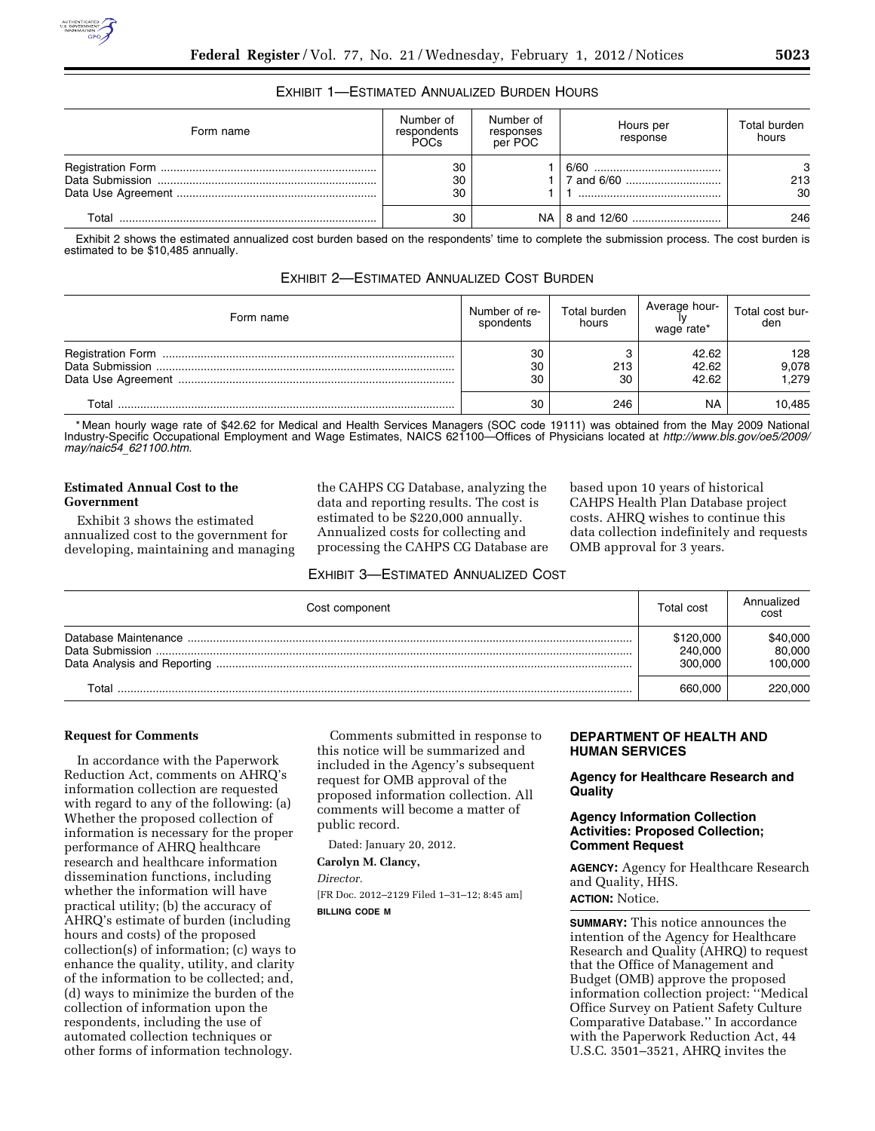# EXHIBIT 1—ESTIMATED ANNUALIZED BURDEN HOURS

| Form name | Number of<br>respondents<br><b>POCs</b> | Number of<br>responses<br>per POC | Hours per<br>response | Total burden<br>hours |
|-----------|-----------------------------------------|-----------------------------------|-----------------------|-----------------------|
|           | 30<br>30<br>30                          |                                   |                       | 3<br>213<br>30        |
| Total     | 30                                      |                                   |                       | 246                   |

Exhibit 2 shows the estimated annualized cost burden based on the respondents' time to complete the submission process. The cost burden is estimated to be \$10,485 annually.

| Form name | Number of re-<br>spondents | Total burden<br>hours | Average hour-<br>wage rate* | Total cost bur-<br>den |
|-----------|----------------------------|-----------------------|-----------------------------|------------------------|
|           | 30<br>30<br>30             | 213<br>30             | 42.62<br>42.62<br>42.62     | 128<br>9,078<br>1,279  |
| Total     | 30                         | 246                   | <b>NA</b>                   | 10,485                 |

\* Mean hourly wage rate of \$42.62 for Medical and Health Services Managers (SOC code 19111) was obtained from the May 2009 National Industry-Specific Occupational Employment and Wage Estimates, NAICS 621100—Offices of Physicians located at *[http://www.bls.gov/oe5/2009/](http://www.bls.gov/oe5/2009/may/naic54_621100.htm)  may/naic54*\_*[621100.htm](http://www.bls.gov/oe5/2009/may/naic54_621100.htm)*.

# **Estimated Annual Cost to the Government**

Exhibit 3 shows the estimated annualized cost to the government for developing, maintaining and managing the CAHPS CG Database, analyzing the data and reporting results. The cost is estimated to be \$220,000 annually. Annualized costs for collecting and processing the CAHPS CG Database are based upon 10 years of historical CAHPS Health Plan Database project costs. AHRQ wishes to continue this data collection indefinitely and requests OMB approval for 3 years.

EXHIBIT 3—ESTIMATED ANNUALIZED COST

| Cost component       | Total cost                      | Annualized<br>cost            |
|----------------------|---------------------------------|-------------------------------|
| Database Maintenance | \$120,000<br>240,000<br>300,000 | \$40,000<br>80,000<br>100.000 |
| ™otal                | 660,000                         | 220,000                       |

# **Request for Comments**

In accordance with the Paperwork Reduction Act, comments on AHRQ's information collection are requested with regard to any of the following: (a) Whether the proposed collection of information is necessary for the proper performance of AHRQ healthcare research and healthcare information dissemination functions, including whether the information will have practical utility; (b) the accuracy of AHRQ's estimate of burden (including hours and costs) of the proposed collection(s) of information; (c) ways to enhance the quality, utility, and clarity of the information to be collected; and, (d) ways to minimize the burden of the collection of information upon the respondents, including the use of automated collection techniques or other forms of information technology.

Comments submitted in response to this notice will be summarized and included in the Agency's subsequent request for OMB approval of the proposed information collection. All comments will become a matter of public record.

Dated: January 20, 2012.

**Carolyn M. Clancy,** 

*Director.* 

[FR Doc. 2012–2129 Filed 1–31–12; 8:45 am] **BILLING CODE M** 

# **DEPARTMENT OF HEALTH AND HUMAN SERVICES**

**Agency for Healthcare Research and Quality** 

# **Agency Information Collection Activities: Proposed Collection; Comment Request**

**AGENCY:** Agency for Healthcare Research and Quality, HHS.

**ACTION:** Notice.

**SUMMARY:** This notice announces the intention of the Agency for Healthcare Research and Quality (AHRQ) to request that the Office of Management and Budget (OMB) approve the proposed information collection project: ''Medical Office Survey on Patient Safety Culture Comparative Database.'' In accordance with the Paperwork Reduction Act, 44 U.S.C. 3501–3521, AHRQ invites the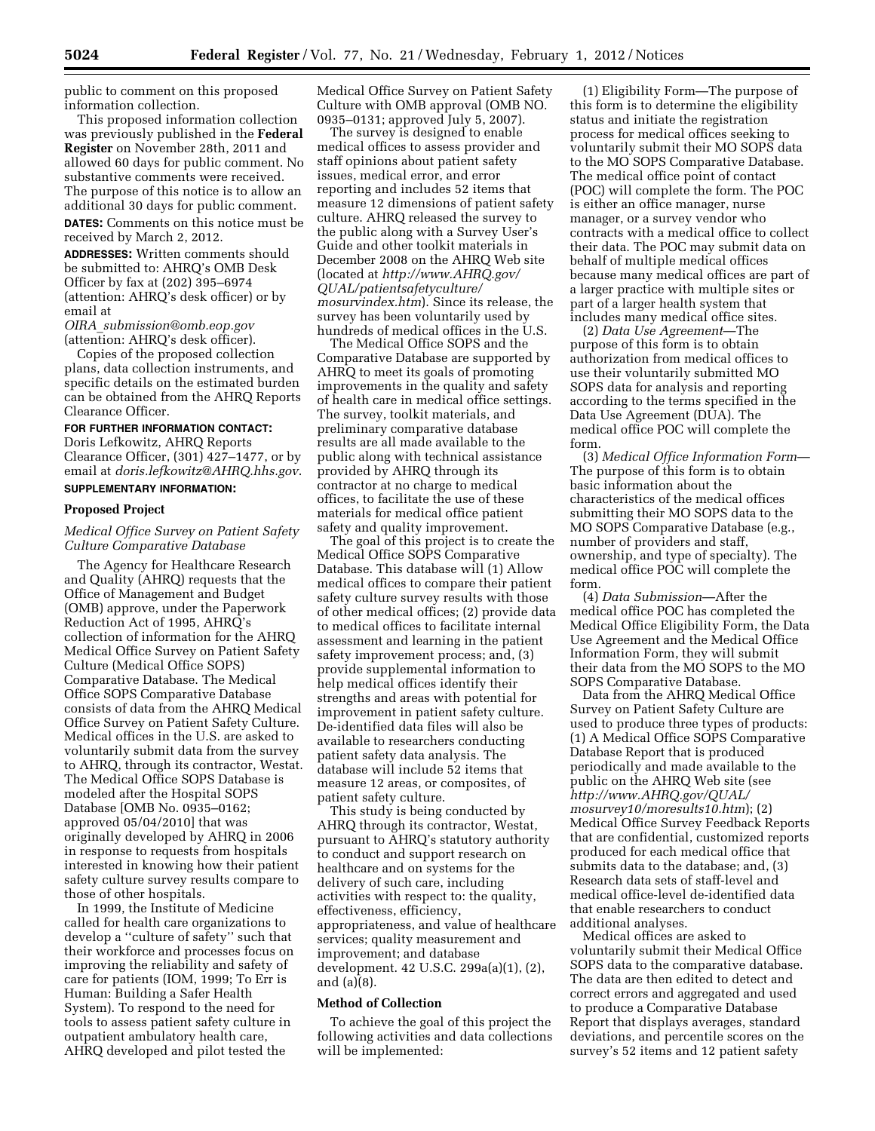public to comment on this proposed information collection.

This proposed information collection was previously published in the **Federal Register** on November 28th, 2011 and allowed 60 days for public comment. No substantive comments were received. The purpose of this notice is to allow an additional 30 days for public comment.

**DATES:** Comments on this notice must be received by March 2, 2012.

**ADDRESSES:** Written comments should be submitted to: AHRQ's OMB Desk Officer by fax at (202) 395–6974 (attention: AHRQ's desk officer) or by email at

*OIRA*\_*[submission@omb.eop.gov](mailto:OIRA_submission@omb.eop.gov)*  (attention: AHRQ's desk officer).

Copies of the proposed collection plans, data collection instruments, and specific details on the estimated burden can be obtained from the AHRQ Reports Clearance Officer.

### **FOR FURTHER INFORMATION CONTACT:**

Doris Lefkowitz, AHRQ Reports Clearance Officer, (301) 427–1477, or by email at *[doris.lefkowitz@AHRQ.hhs.gov](mailto:doris.lefkowitz@AHRQ.hhs.gov)*. **SUPPLEMENTARY INFORMATION:** 

#### **Proposed Project**

#### *Medical Office Survey on Patient Safety Culture Comparative Database*

The Agency for Healthcare Research and Quality (AHRQ) requests that the Office of Management and Budget (OMB) approve, under the Paperwork Reduction Act of 1995, AHRQ's collection of information for the AHRQ Medical Office Survey on Patient Safety Culture (Medical Office SOPS) Comparative Database. The Medical Office SOPS Comparative Database consists of data from the AHRQ Medical Office Survey on Patient Safety Culture. Medical offices in the U.S. are asked to voluntarily submit data from the survey to AHRQ, through its contractor, Westat. The Medical Office SOPS Database is modeled after the Hospital SOPS Database [OMB No. 0935–0162; approved 05/04/2010] that was originally developed by AHRQ in 2006 in response to requests from hospitals interested in knowing how their patient safety culture survey results compare to those of other hospitals.

In 1999, the Institute of Medicine called for health care organizations to develop a ''culture of safety'' such that their workforce and processes focus on improving the reliability and safety of care for patients (IOM, 1999; To Err is Human: Building a Safer Health System). To respond to the need for tools to assess patient safety culture in outpatient ambulatory health care, AHRQ developed and pilot tested the

Medical Office Survey on Patient Safety Culture with OMB approval (OMB NO. 0935–0131; approved July 5, 2007).

The survey is designed to enable medical offices to assess provider and staff opinions about patient safety issues, medical error, and error reporting and includes 52 items that measure 12 dimensions of patient safety culture. AHRQ released the survey to the public along with a Survey User's Guide and other toolkit materials in December 2008 on the AHRQ Web site (located at *[http://www.AHRQ.gov/](http://www.AHRQ.gov/QUAL/patientsafetyculture/mosurvindex.htm)  [QUAL/patientsafetyculture/](http://www.AHRQ.gov/QUAL/patientsafetyculture/mosurvindex.htm)  [mosurvindex.htm](http://www.AHRQ.gov/QUAL/patientsafetyculture/mosurvindex.htm)*). Since its release, the survey has been voluntarily used by hundreds of medical offices in the U.S.

The Medical Office SOPS and the Comparative Database are supported by AHRQ to meet its goals of promoting improvements in the quality and safety of health care in medical office settings. The survey, toolkit materials, and preliminary comparative database results are all made available to the public along with technical assistance provided by AHRQ through its contractor at no charge to medical offices, to facilitate the use of these materials for medical office patient safety and quality improvement.

The goal of this project is to create the Medical Office SOPS Comparative Database. This database will (1) Allow medical offices to compare their patient safety culture survey results with those of other medical offices; (2) provide data to medical offices to facilitate internal assessment and learning in the patient safety improvement process; and, (3) provide supplemental information to help medical offices identify their strengths and areas with potential for improvement in patient safety culture. De-identified data files will also be available to researchers conducting patient safety data analysis. The database will include 52 items that measure 12 areas, or composites, of patient safety culture.

This study is being conducted by AHRQ through its contractor, Westat, pursuant to AHRQ's statutory authority to conduct and support research on healthcare and on systems for the delivery of such care, including activities with respect to: the quality, effectiveness, efficiency, appropriateness, and value of healthcare services; quality measurement and improvement; and database development. 42 U.S.C. 299a(a)(1), (2), and (a)(8).

# **Method of Collection**

To achieve the goal of this project the following activities and data collections will be implemented:

(1) Eligibility Form—The purpose of this form is to determine the eligibility status and initiate the registration process for medical offices seeking to voluntarily submit their MO SOPS data to the MO SOPS Comparative Database. The medical office point of contact (POC) will complete the form. The POC is either an office manager, nurse manager, or a survey vendor who contracts with a medical office to collect their data. The POC may submit data on behalf of multiple medical offices because many medical offices are part of a larger practice with multiple sites or part of a larger health system that includes many medical office sites.

(2) *Data Use Agreement*—The purpose of this form is to obtain authorization from medical offices to use their voluntarily submitted MO SOPS data for analysis and reporting according to the terms specified in the Data Use Agreement (DUA). The medical office POC will complete the form.

(3) *Medical Office Information Form*— The purpose of this form is to obtain basic information about the characteristics of the medical offices submitting their MO SOPS data to the MO SOPS Comparative Database (e.g., number of providers and staff, ownership, and type of specialty). The medical office POC will complete the form.

(4) *Data Submission*—After the medical office POC has completed the Medical Office Eligibility Form, the Data Use Agreement and the Medical Office Information Form, they will submit their data from the MO SOPS to the MO SOPS Comparative Database.

Data from the AHRQ Medical Office Survey on Patient Safety Culture are used to produce three types of products: (1) A Medical Office SOPS Comparative Database Report that is produced periodically and made available to the public on the AHRQ Web site (see *[http://www.AHRQ.gov/QUAL/](http://www.AHRQ.gov/QUAL/mosurvey10/moresults10.htm)  [mosurvey10/moresults10.htm](http://www.AHRQ.gov/QUAL/mosurvey10/moresults10.htm)*); (2) Medical Office Survey Feedback Reports that are confidential, customized reports produced for each medical office that submits data to the database; and, (3) Research data sets of staff-level and medical office-level de-identified data that enable researchers to conduct additional analyses.

Medical offices are asked to voluntarily submit their Medical Office SOPS data to the comparative database. The data are then edited to detect and correct errors and aggregated and used to produce a Comparative Database Report that displays averages, standard deviations, and percentile scores on the survey's 52 items and 12 patient safety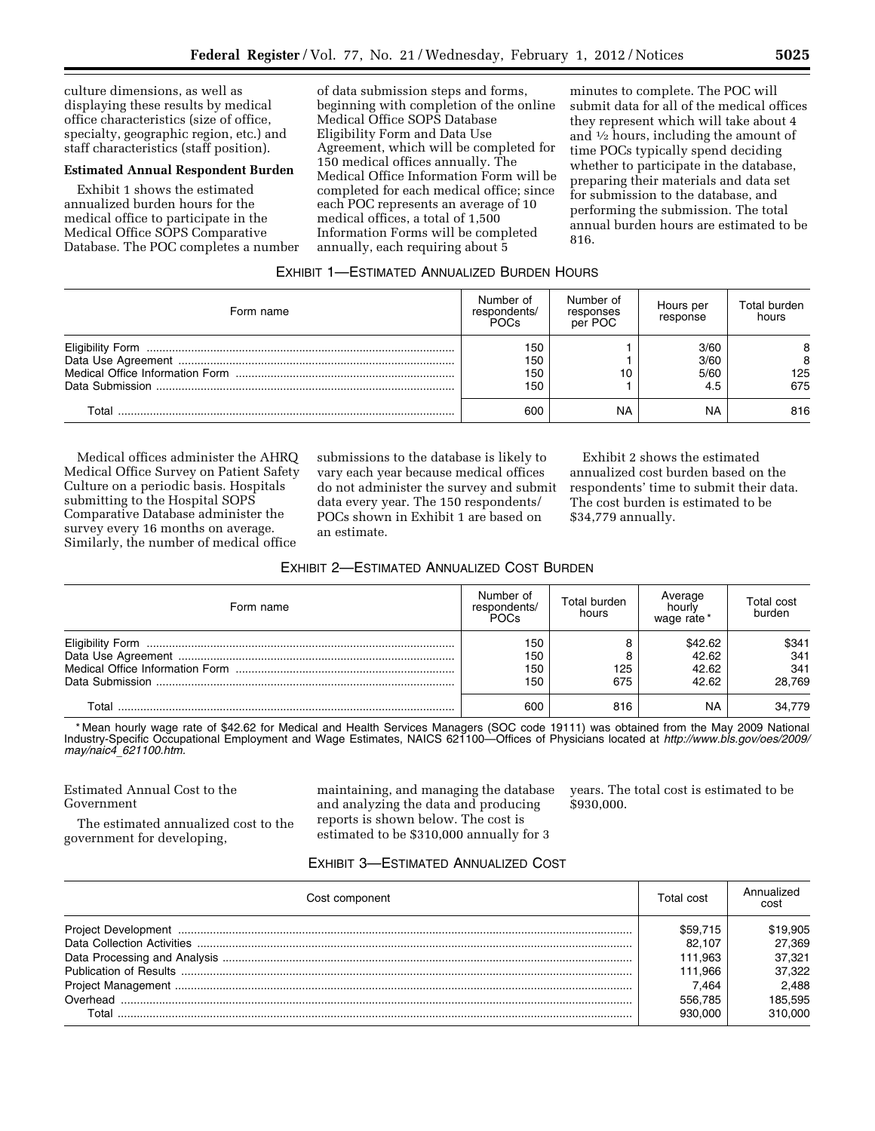culture dimensions, as well as displaying these results by medical office characteristics (size of office, specialty, geographic region, etc.) and staff characteristics (staff position).

# **Estimated Annual Respondent Burden**

Exhibit 1 shows the estimated annualized burden hours for the medical office to participate in the Medical Office SOPS Comparative Database. The POC completes a number

of data submission steps and forms, beginning with completion of the online Medical Office SOPS Database Eligibility Form and Data Use Agreement, which will be completed for 150 medical offices annually. The Medical Office Information Form will be completed for each medical office; since each POC represents an average of 10 medical offices, a total of 1,500 Information Forms will be completed annually, each requiring about 5

minutes to complete. The POC will submit data for all of the medical offices they represent which will take about 4 and  $\frac{1}{2}$  hours, including the amount of time POCs typically spend deciding whether to participate in the database, preparing their materials and data set for submission to the database, and performing the submission. The total annual burden hours are estimated to be 816.

#### EXHIBIT 1—ESTIMATED ANNUALIZED BURDEN HOURS

| Form name | Number of<br>respondents/<br>POCs | Number of<br>responses<br>per POC | Hours per<br>response       | Total burden<br>hours |
|-----------|-----------------------------------|-----------------------------------|-----------------------------|-----------------------|
|           | 150<br>150<br>150<br>150          | 10                                | 3/60<br>3/60<br>5/60<br>4.5 | 8<br>125<br>675       |
| Total     | 600                               | NA                                | <b>NA</b>                   | 816                   |

Medical offices administer the AHRQ Medical Office Survey on Patient Safety Culture on a periodic basis. Hospitals submitting to the Hospital SOPS Comparative Database administer the survey every 16 months on average. Similarly, the number of medical office

submissions to the database is likely to vary each year because medical offices do not administer the survey and submit data every year. The 150 respondents/ POCs shown in Exhibit 1 are based on an estimate.

Exhibit 2 shows the estimated annualized cost burden based on the respondents' time to submit their data. The cost burden is estimated to be \$34,779 annually.

#### EXHIBIT 2—ESTIMATED ANNUALIZED COST BURDEN

| Form name | Number of<br>respondents/<br>POCs | Total burden<br>hours | Average<br>hourly<br>wage rate     | Total cost<br>burden          |
|-----------|-----------------------------------|-----------------------|------------------------------------|-------------------------------|
|           | 150<br>150<br>150<br>150          | 125<br>675            | \$42.62<br>42.62<br>42.62<br>42.62 | \$341<br>341<br>341<br>28.769 |
| Total     | 600                               | 816                   | <b>NA</b>                          | 34.779                        |

\* Mean hourly wage rate of \$42.62 for Medical and Health Services Managers (SOC code 19111) was obtained from the May 2009 National Industry-Specific Occupational Employment and Wage Estimates, NAICS 621100—Offices of Physicians located at *[http://www.bls.gov/oes/2009/](http://www.bls.gov/oes/2009/may/naic4_621100.htm)  may/naic4*\_*[621100.htm.](http://www.bls.gov/oes/2009/may/naic4_621100.htm)* 

# Estimated Annual Cost to the Government

The estimated annualized cost to the government for developing,

maintaining, and managing the database and analyzing the data and producing reports is shown below. The cost is estimated to be \$310,000 annually for 3

years. The total cost is estimated to be \$930,000.

### EXHIBIT 3—ESTIMATED ANNUALIZED COST

| Cost component | Total cost | Annualized<br>cost |
|----------------|------------|--------------------|
|                | \$59.715   | \$19,905           |
|                | 82.107     | 27.369             |
|                | 111.963    | 37.321             |
|                | 111.966    | 37.322             |
|                | 7.464      | 2.488              |
|                | 556.785    | 185.595            |
| Total          | 930.000    | 310.000            |